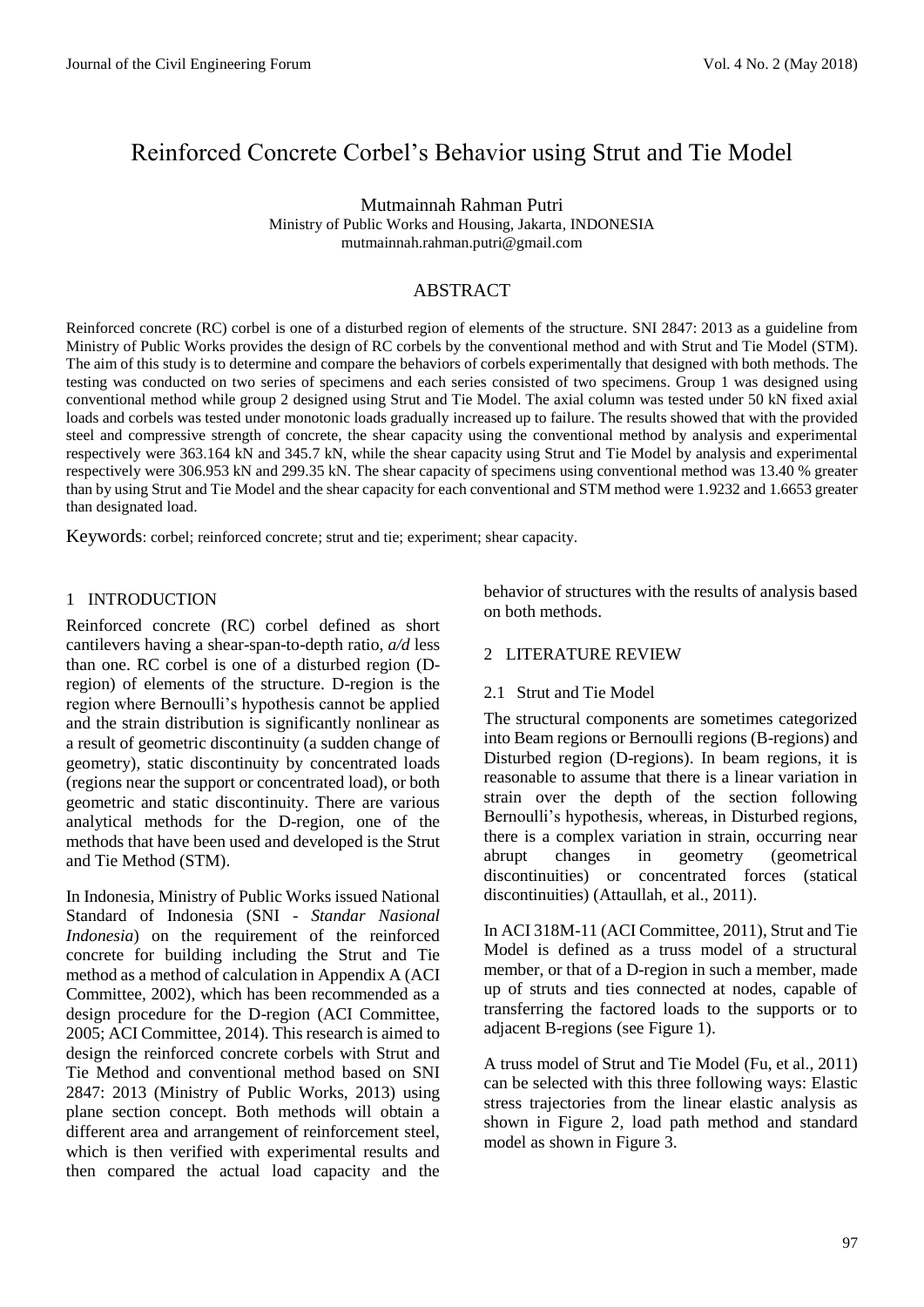# Reinforced Concrete Corbel's Behavior using Strut and Tie Model

Mutmainnah Rahman Putri Ministry of Public Works and Housing, Jakarta, INDONESIA mutmainnah.rahman.putri@gmail.com

## ABSTRACT

Reinforced concrete (RC) corbel is one of a disturbed region of elements of the structure. SNI 2847: 2013 as a guideline from Ministry of Public Works provides the design of RC corbels by the conventional method and with Strut and Tie Model (STM). The aim of this study is to determine and compare the behaviors of corbels experimentally that designed with both methods. The testing was conducted on two series of specimens and each series consisted of two specimens. Group 1 was designed using conventional method while group 2 designed using Strut and Tie Model. The axial column was tested under 50 kN fixed axial loads and corbels was tested under monotonic loads gradually increased up to failure. The results showed that with the provided steel and compressive strength of concrete, the shear capacity using the conventional method by analysis and experimental respectively were 363.164 kN and 345.7 kN, while the shear capacity using Strut and Tie Model by analysis and experimental respectively were 306.953 kN and 299.35 kN. The shear capacity of specimens using conventional method was 13.40 % greater than by using Strut and Tie Model and the shear capacity for each conventional and STM method were 1.9232 and 1.6653 greater than designated load.

Keywords: corbel; reinforced concrete; strut and tie; experiment; shear capacity.

### 1 INTRODUCTION

Reinforced concrete (RC) corbel defined as short cantilevers having a shear-span-to-depth ratio, *a/d* less than one. RC corbel is one of a disturbed region (Dregion) of elements of the structure. D-region is the region where Bernoulli's hypothesis cannot be applied and the strain distribution is significantly nonlinear as a result of geometric discontinuity (a sudden change of geometry), static discontinuity by concentrated loads (regions near the support or concentrated load), or both geometric and static discontinuity. There are various analytical methods for the D-region, one of the methods that have been used and developed is the Strut and Tie Method (STM).

In Indonesia, Ministry of Public Works issued National Standard of Indonesia (SNI - *Standar Nasional Indonesia*) on the requirement of the reinforced concrete for building including the Strut and Tie method as a method of calculation in Appendix A (ACI Committee, 2002), which has been recommended as a design procedure for the D-region (ACI Committee, 2005; ACI Committee, 2014). This research is aimed to design the reinforced concrete corbels with Strut and Tie Method and conventional method based on SNI 2847: 2013 (Ministry of Public Works, 2013) using plane section concept. Both methods will obtain a different area and arrangement of reinforcement steel, which is then verified with experimental results and then compared the actual load capacity and the behavior of structures with the results of analysis based on both methods.

### 2 LITERATURE REVIEW

#### 2.1 Strut and Tie Model

The structural components are sometimes categorized into Beam regions or Bernoulli regions (B-regions) and Disturbed region (D-regions). In beam regions, it is reasonable to assume that there is a linear variation in strain over the depth of the section following Bernoulli's hypothesis, whereas, in Disturbed regions, there is a complex variation in strain, occurring near abrupt changes in geometry (geometrical discontinuities) or concentrated forces (statical discontinuities) (Attaullah, et al., 2011).

In ACI 318M-11 (ACI Committee, 2011), Strut and Tie Model is defined as a truss model of a structural member, or that of a D-region in such a member, made up of struts and ties connected at nodes, capable of transferring the factored loads to the supports or to adjacent B-regions (see Figure 1).

A truss model of Strut and Tie Model (Fu, et al., 2011) can be selected with this three following ways: Elastic stress trajectories from the linear elastic analysis as shown in Figure 2, load path method and standard model as shown in Figure 3.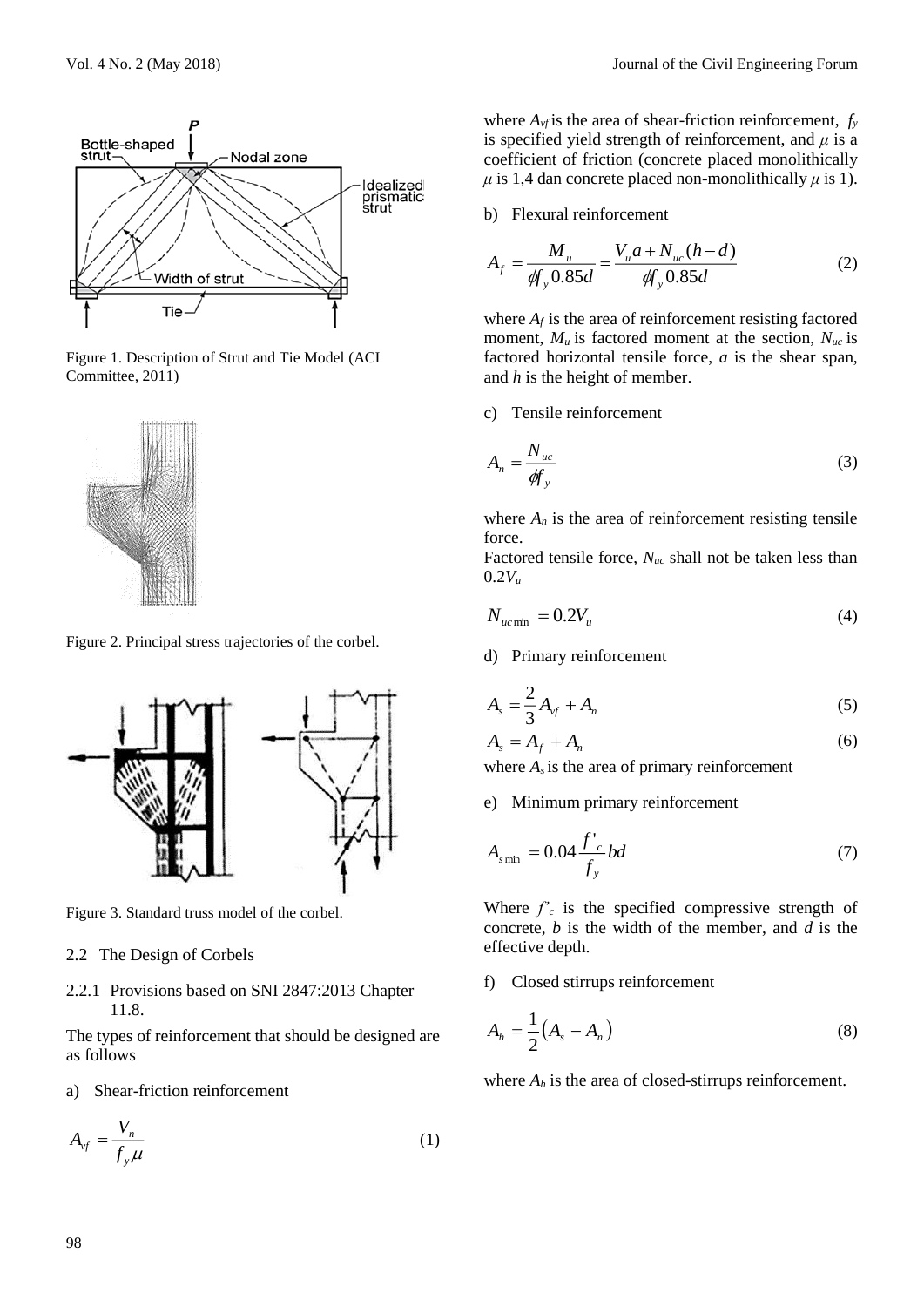

Figure 1. Description of Strut and Tie Model (ACI Committee, 2011)



Figure 2. Principal stress trajectories of the corbel.



Figure 3. Standard truss model of the corbel.

#### 2.2 The Design of Corbels

2.2.1 Provisions based on SNI 2847:2013 Chapter 11.8.

The types of reinforcement that should be designed are as follows

a) Shear-friction reinforcement

$$
A_{vf} = \frac{V_n}{f_y \mu} \tag{1}
$$

where  $A_{\nu f}$  is the area of shear-friction reinforcement,  $f_{\nu}$ is specified yield strength of reinforcement, and *μ* is a coefficient of friction (concrete placed monolithically  $\mu$  is 1,4 dan concrete placed non-monolithically  $\mu$  is 1).

b) Flexural reinforcement

$$
A_{f} = \frac{M_{u}}{\phi f_{y} 0.85d} = \frac{V_{u}a + N_{uc}(h - d)}{\phi f_{y} 0.85d}
$$
 (2)

where  $A_f$  is the area of reinforcement resisting factored moment,  $M_u$  is factored moment at the section,  $N_{uc}$  is factored horizontal tensile force, *a* is the shear span, and *h* is the height of member.

c) Tensile reinforcement

$$
A_n = \frac{N_{uc}}{\phi f_y} \tag{3}
$$

where  $A_n$  is the area of reinforcement resisting tensile force.

Factored tensile force, *Nuc* shall not be taken less than  $0.2V_{u}$ 

$$
N_{ucmin} = 0.2V_u \tag{4}
$$

d) Primary reinforcement

$$
A_s = \frac{2}{3}A_{vf} + A_n \tag{5}
$$

$$
A_s = A_f + A_n
$$
 (6)

where  $A_s$  is the area of primary reinforcement

e) Minimum primary reinforcement

$$
A_{s\min} = 0.04 \frac{f'_{c}}{f_{y}} bd \tag{7}
$$

Where  $f'_{c}$  is the specified compressive strength of concrete, *b* is the width of the member, and *d* is the effective depth.

f) Closed stirrups reinforcement

$$
A_h = \frac{1}{2} \left( A_s - A_n \right) \tag{8}
$$

where  $A_h$  is the area of closed-stirrups reinforcement.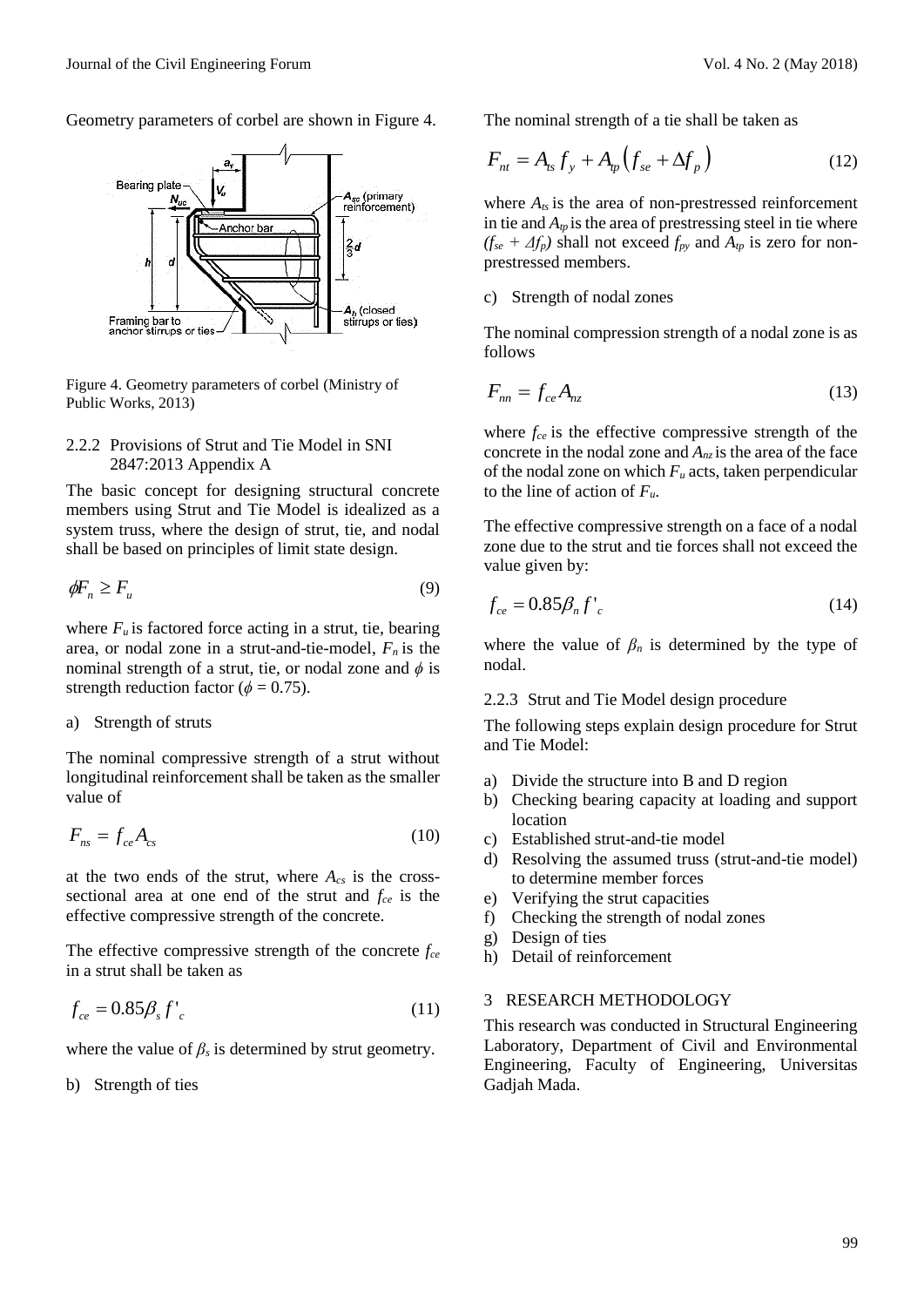Geometry parameters of corbel are shown in Figure 4.



Figure 4. Geometry parameters of corbel (Ministry of Public Works, 2013)

### 2.2.2 Provisions of Strut and Tie Model in SNI 2847:2013 Appendix A

The basic concept for designing structural concrete members using Strut and Tie Model is idealized as a system truss, where the design of strut, tie, and nodal shall be based on principles of limit state design.

$$
\phi F_n \ge F_u \tag{9}
$$

where  $F_u$  is factored force acting in a strut, tie, bearing area, or nodal zone in a strut-and-tie-model, *F<sup>n</sup>* is the nominal strength of a strut, tie, or nodal zone and  $\phi$  is strength reduction factor ( $\phi$  = 0.75).

a) Strength of struts

The nominal compressive strength of a strut without longitudinal reinforcement shall be taken as the smaller value of

$$
F_{ns} = f_{ce} A_{cs} \tag{10}
$$

at the two ends of the strut, where *Acs* is the crosssectional area at one end of the strut and *fce* is the effective compressive strength of the concrete.

The effective compressive strength of the concrete *fce* in a strut shall be taken as

$$
f_{ce} = 0.85 \beta_s f'_c \tag{11}
$$

where the value of  $\beta_s$  is determined by strut geometry.

b) Strength of ties

The nominal strength of a tie shall be taken as

$$
F_{nt} = A_{ts} f_y + A_{tp} \left( f_{se} + \Delta f_p \right) \tag{12}
$$

where *Ats* is the area of non-prestressed reinforcement in tie and  $A_{tp}$  is the area of prestressing steel in tie where  $(f_{se} + \Delta f_{p})$  shall not exceed  $f_{py}$  and  $A_{tp}$  is zero for nonprestressed members.

### c) Strength of nodal zones

The nominal compression strength of a nodal zone is as follows

$$
F_{nn} = f_{ce} A_{nz} \tag{13}
$$

where *fce* is the effective compressive strength of the concrete in the nodal zone and  $A<sub>nz</sub>$  is the area of the face of the nodal zone on which *F<sup>u</sup>* acts, taken perpendicular to the line of action of *Fu*.

The effective compressive strength on a face of a nodal zone due to the strut and tie forces shall not exceed the value given by:

$$
f_{ce} = 0.85 \beta_n f'_{c} \tag{14}
$$

where the value of  $\beta_n$  is determined by the type of nodal.

#### 2.2.3 Strut and Tie Model design procedure

The following steps explain design procedure for Strut and Tie Model:

- a) Divide the structure into B and D region
- b) Checking bearing capacity at loading and support location
- c) Established strut-and-tie model
- d) Resolving the assumed truss (strut-and-tie model) to determine member forces
- e) Verifying the strut capacities
- f) Checking the strength of nodal zones
- g) Design of ties
- h) Detail of reinforcement

### 3 RESEARCH METHODOLOGY

This research was conducted in Structural Engineering Laboratory, Department of Civil and Environmental Engineering, Faculty of Engineering, Universitas Gadjah Mada.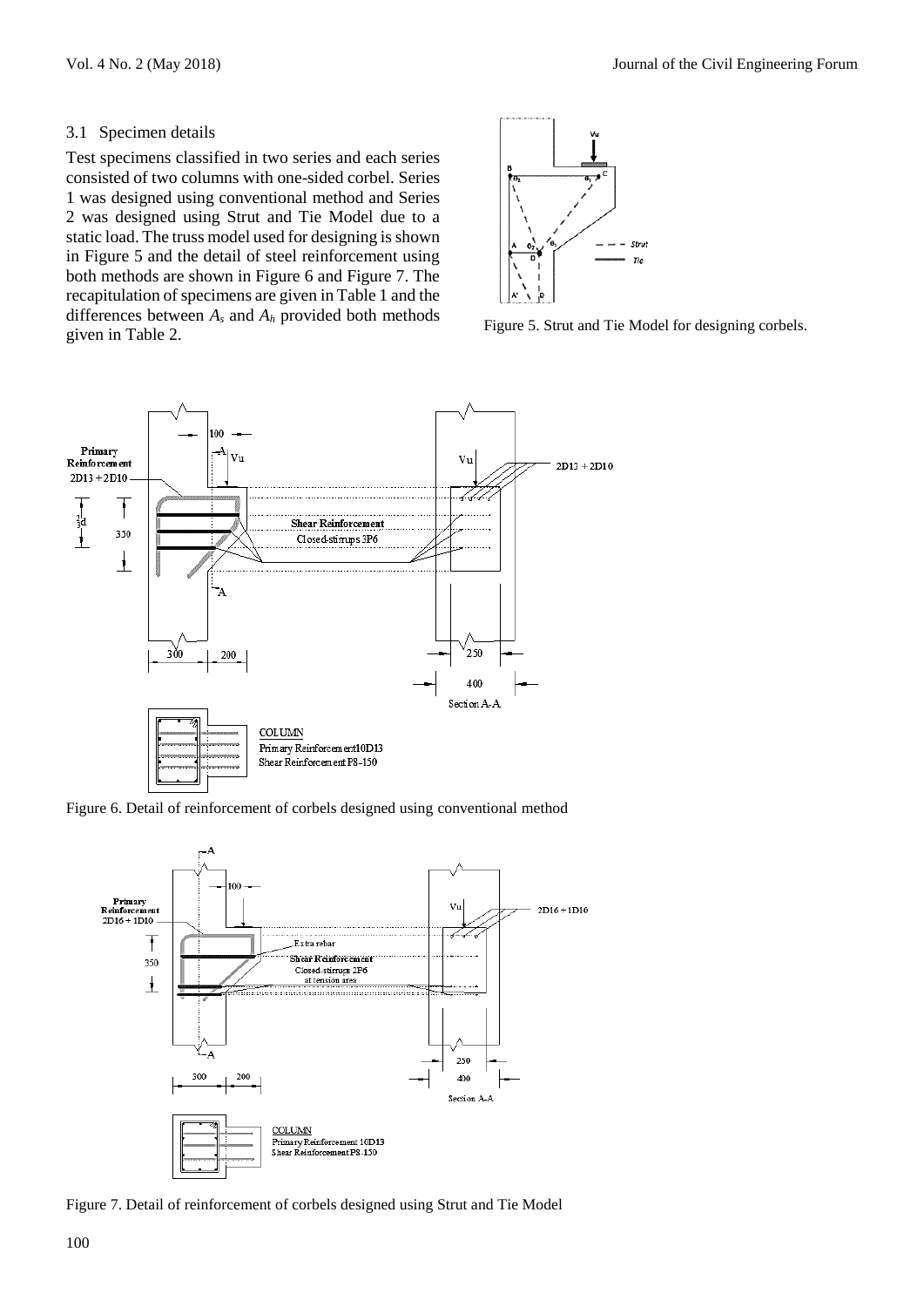### 3.1 Specimen details

Test specimens classified in two series and each series consisted of two columns with one-sided corbel. Series 1 was designed using conventional method and Series 2 was designed using Strut and Tie Model due to a static load. The truss model used for designing is shown in Figure 5 and the detail of steel reinforcement using both methods are shown in Figure 6 and Figure 7. The recapitulation of specimens are given in Table 1 and the differences between *A<sup>s</sup>* and *A<sup>h</sup>* provided both methods given in Table 2. Figure 5. Strut and Tie Model for designing corbels.





Figure 6. Detail of reinforcement of corbels designed using conventional method



Figure 7. Detail of reinforcement of corbels designed using Strut and Tie Model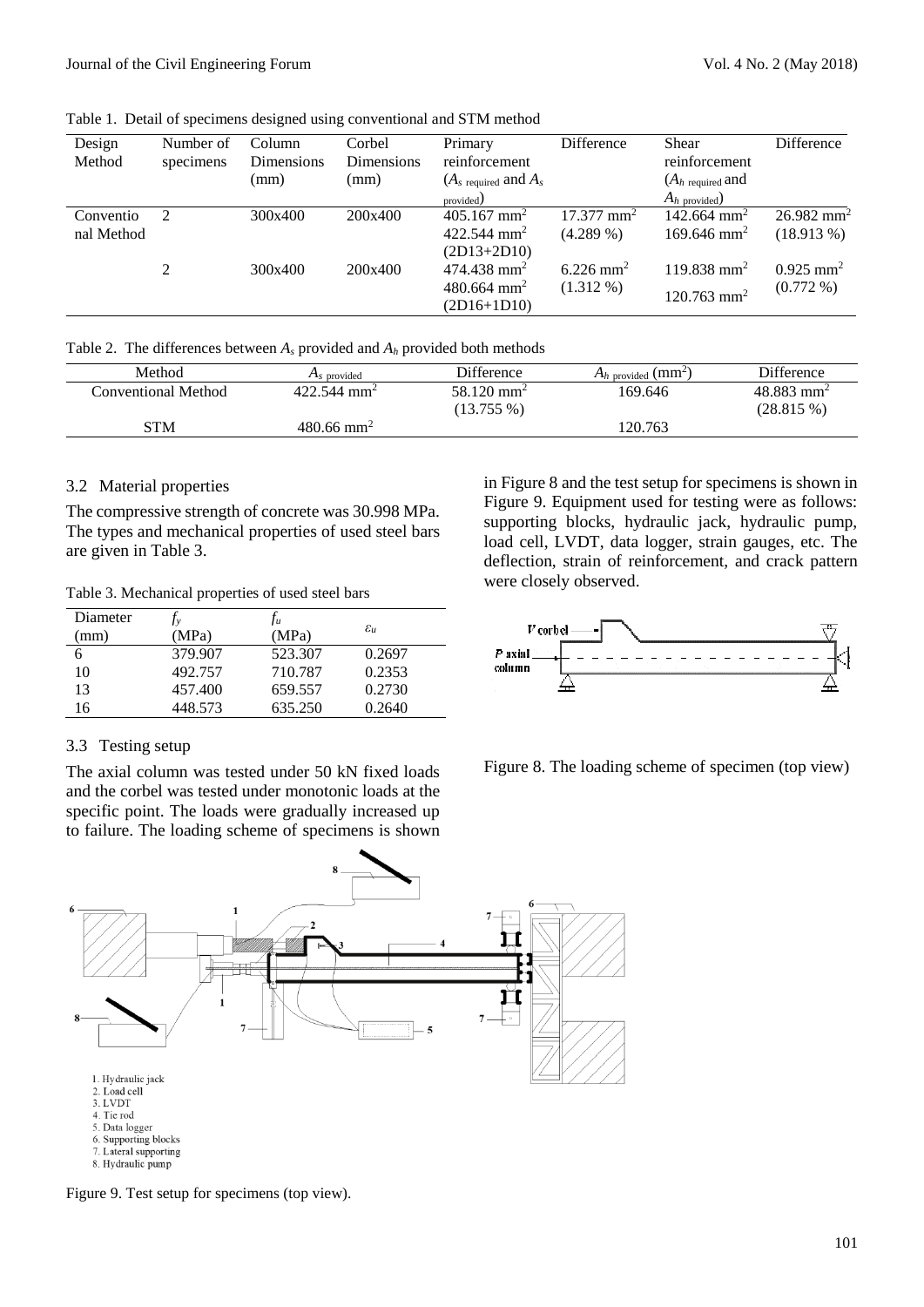Table 1. Detail of specimens designed using conventional and STM method

| Design<br>Method        | Number of<br>specimens | Column<br>Dimensions<br>(mm) | Corbel<br>Dimensions<br>(mm) | Primary<br>reinforcement<br>$(As$ required and $As$<br>provided)        | Difference                              | <b>Shear</b><br>reinforcement<br>$(A_h$ required and<br>$A_h$ provided) | Difference                               |
|-------------------------|------------------------|------------------------------|------------------------------|-------------------------------------------------------------------------|-----------------------------------------|-------------------------------------------------------------------------|------------------------------------------|
| Conventio<br>nal Method |                        | 300x400                      | 200x400                      | $405.167$ mm <sup>2</sup><br>422.544 mm <sup>2</sup><br>$(2D13+2D10)$   | $17.377$ mm <sup>2</sup><br>$(4.289\%)$ | $142.664$ mm <sup>2</sup><br>$169.646$ mm <sup>2</sup>                  | $26.982$ mm <sup>2</sup><br>$(18.913\%)$ |
|                         | $\mathfrak{D}$         | 300x400                      | 200x400                      | $474.438$ mm <sup>2</sup><br>$480.664$ mm <sup>2</sup><br>$(2D16+1D10)$ | $6.226$ mm <sup>2</sup><br>$(1.312\%)$  | $119.838$ mm <sup>2</sup><br>$120.763$ mm <sup>2</sup>                  | $0.925$ mm <sup>2</sup><br>$(0.772\%)$   |

Table 2. The differences between  $A_s$  provided and  $A_h$  provided both methods

| Method              | $As$ provided             | <b>Difference</b>        | $A_h$ provided ( $mm2$ ) | <b>Difference</b>        |
|---------------------|---------------------------|--------------------------|--------------------------|--------------------------|
| Conventional Method | $422.544$ mm <sup>2</sup> | $58.120$ mm <sup>2</sup> | 169.646                  | $48.883$ mm <sup>2</sup> |
|                     |                           | $(13.755\%)$             |                          | $(28.815\%)$             |
| STM                 | $480.66$ mm <sup>2</sup>  |                          | 120.763                  |                          |

#### 3.2 Material properties

The compressive strength of concrete was 30.998 MPa. The types and mechanical properties of used steel bars are given in Table 3.

Table 3. Mechanical properties of used steel bars

| Diameter |         | I u     |                     |
|----------|---------|---------|---------------------|
| (mm)     | (MPa    | (MPa)   | $\varepsilon_{\mu}$ |
| 6        | 379.907 | 523.307 | 0.2697              |
| 10       | 492.757 | 710.787 | 0.2353              |
| 13       | 457.400 | 659.557 | 0.2730              |
| 16       | 448.573 | 635.250 | 0.2640              |

### 3.3 Testing setup

The axial column was tested under 50 kN fixed loads and the corbel was tested under monotonic loads at the specific point. The loads were gradually increased up to failure. The loading scheme of specimens is shown

in Figure 8 and the test setup for specimens is shown in Figure 9. Equipment used for testing were as follows: supporting blocks, hydraulic jack, hydraulic pump, load cell, LVDT, data logger, strain gauges, etc. The deflection, strain of reinforcement, and crack pattern were closely observed.



Figure 8. The loading scheme of specimen (top view)



Figure 9. Test setup for specimens (top view).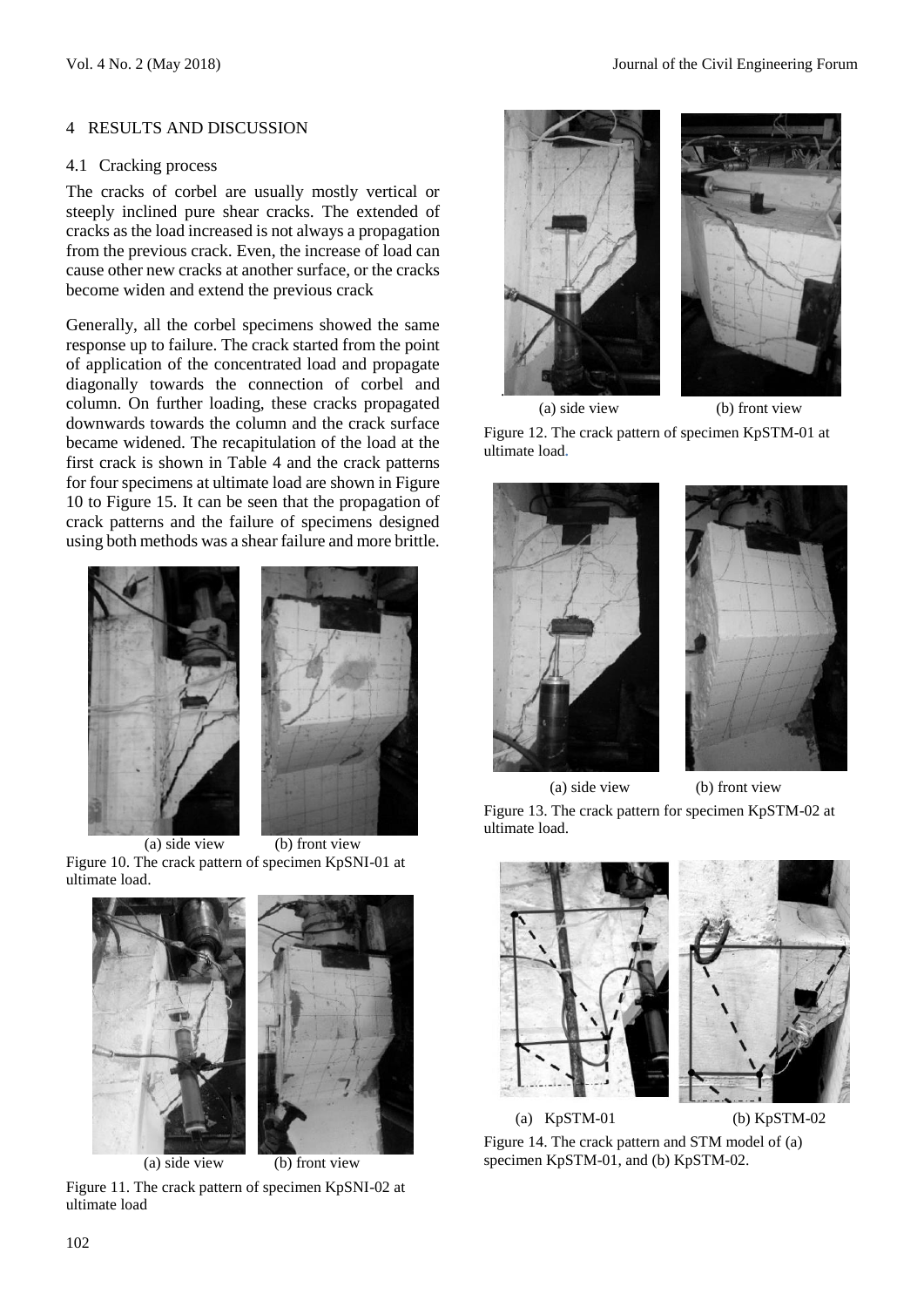### 4 RESULTS AND DISCUSSION

### 4.1 Cracking process

The cracks of corbel are usually mostly vertical or steeply inclined pure shear cracks. The extended of cracks as the load increased is not always a propagation from the previous crack. Even, the increase of load can cause other new cracks at another surface, or the cracks become widen and extend the previous crack

Generally, all the corbel specimens showed the same response up to failure. The crack started from the point of application of the concentrated load and propagate diagonally towards the connection of corbel and column. On further loading, these cracks propagated downwards towards the column and the crack surface became widened. The recapitulation of the load at the first crack is shown in Table 4 and the crack patterns for four specimens at ultimate load are shown in Figure 10 to Figure 15. It can be seen that the propagation of crack patterns and the failure of specimens designed using both methods was a shear failure and more brittle.



(a) side view (b) front view Figure 10. The crack pattern of specimen KpSNI-01 at ultimate load.





Figure 11. The crack pattern of specimen KpSNI-02 at ultimate load



(a) side view (b) front view Figure 12. The crack pattern of specimen KpSTM-01 at ultimate load**.**



 (a) side view (b) front view Figure 13. The crack pattern for specimen KpSTM-02 at ultimate load.



(a)  $KpSTM-01$  (b)  $KpSTM-02$ 

Figure 14. The crack pattern and STM model of (a) specimen KpSTM-01, and (b) KpSTM-02.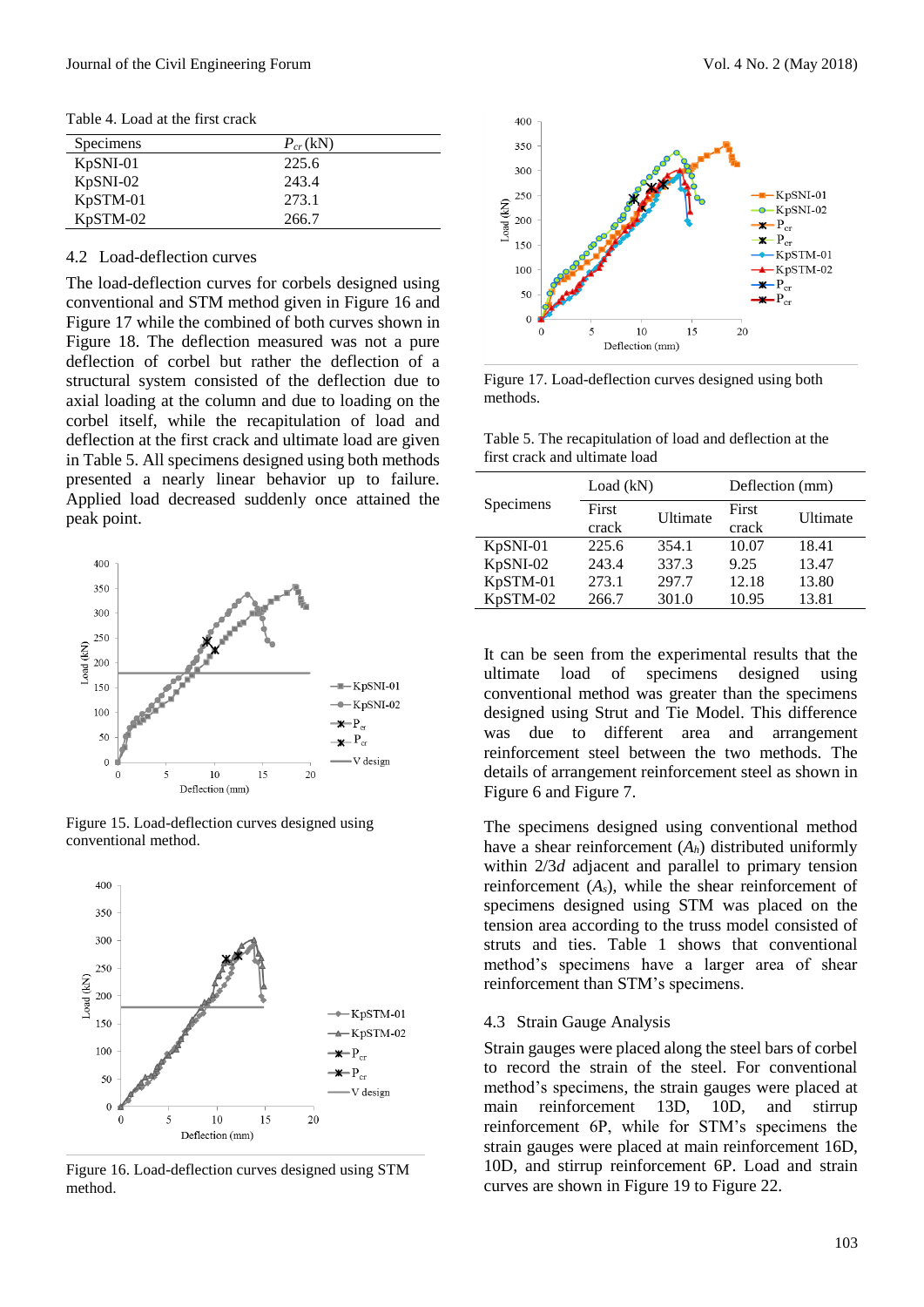Table 4. Load at the first crack

| Specimens  | $P_{cr}$ (kN) |
|------------|---------------|
| $KpSNI-01$ | 225.6         |
| $KpSNI-02$ | 243.4         |
| $KpSTM-01$ | 273.1         |
| KpSTM-02   | 266.7         |

#### 4.2 Load-deflection curves

The load-deflection curves for corbels designed using conventional and STM method given in Figure 16 and Figure 17 while the combined of both curves shown in Figure 18. The deflection measured was not a pure deflection of corbel but rather the deflection of a structural system consisted of the deflection due to axial loading at the column and due to loading on the corbel itself, while the recapitulation of load and deflection at the first crack and ultimate load are given in Table 5. All specimens designed using both methods presented a nearly linear behavior up to failure. Applied load decreased suddenly once attained the peak point.







Figure 16. Load-deflection curves designed using STM method.



Figure 17. Load-deflection curves designed using both methods.

Table 5. The recapitulation of load and deflection at the first crack and ultimate load

|           | Load $(kN)$ |          | Deflection (mm) |          |  |
|-----------|-------------|----------|-----------------|----------|--|
| Specimens | First       | Ultimate | First           | Ultimate |  |
|           | crack       |          | crack           |          |  |
| KpSNI-01  | 225.6       | 354.1    | 10.07           | 18.41    |  |
| KpSNI-02  | 243.4       | 337.3    | 9.25            | 13.47    |  |
| KpSTM-01  | 273.1       | 297.7    | 12.18           | 13.80    |  |
| KpSTM-02  | 266.7       | 301.0    | 10.95           | 13.81    |  |

It can be seen from the experimental results that the ultimate load of specimens designed using conventional method was greater than the specimens designed using Strut and Tie Model. This difference was due to different area and arrangement reinforcement steel between the two methods. The details of arrangement reinforcement steel as shown in Figure 6 and Figure 7.

The specimens designed using conventional method have a shear reinforcement (*Ah*) distributed uniformly within 2/3*d* adjacent and parallel to primary tension reinforcement (*As*), while the shear reinforcement of specimens designed using STM was placed on the tension area according to the truss model consisted of struts and ties. Table 1 shows that conventional method's specimens have a larger area of shear reinforcement than STM's specimens.

#### 4.3 Strain Gauge Analysis

Strain gauges were placed along the steel bars of corbel to record the strain of the steel. For conventional method's specimens, the strain gauges were placed at main reinforcement 13D, 10D, and stirrup reinforcement 6P, while for STM's specimens the strain gauges were placed at main reinforcement 16D, 10D, and stirrup reinforcement 6P. Load and strain curves are shown in Figure 19 to Figure 22.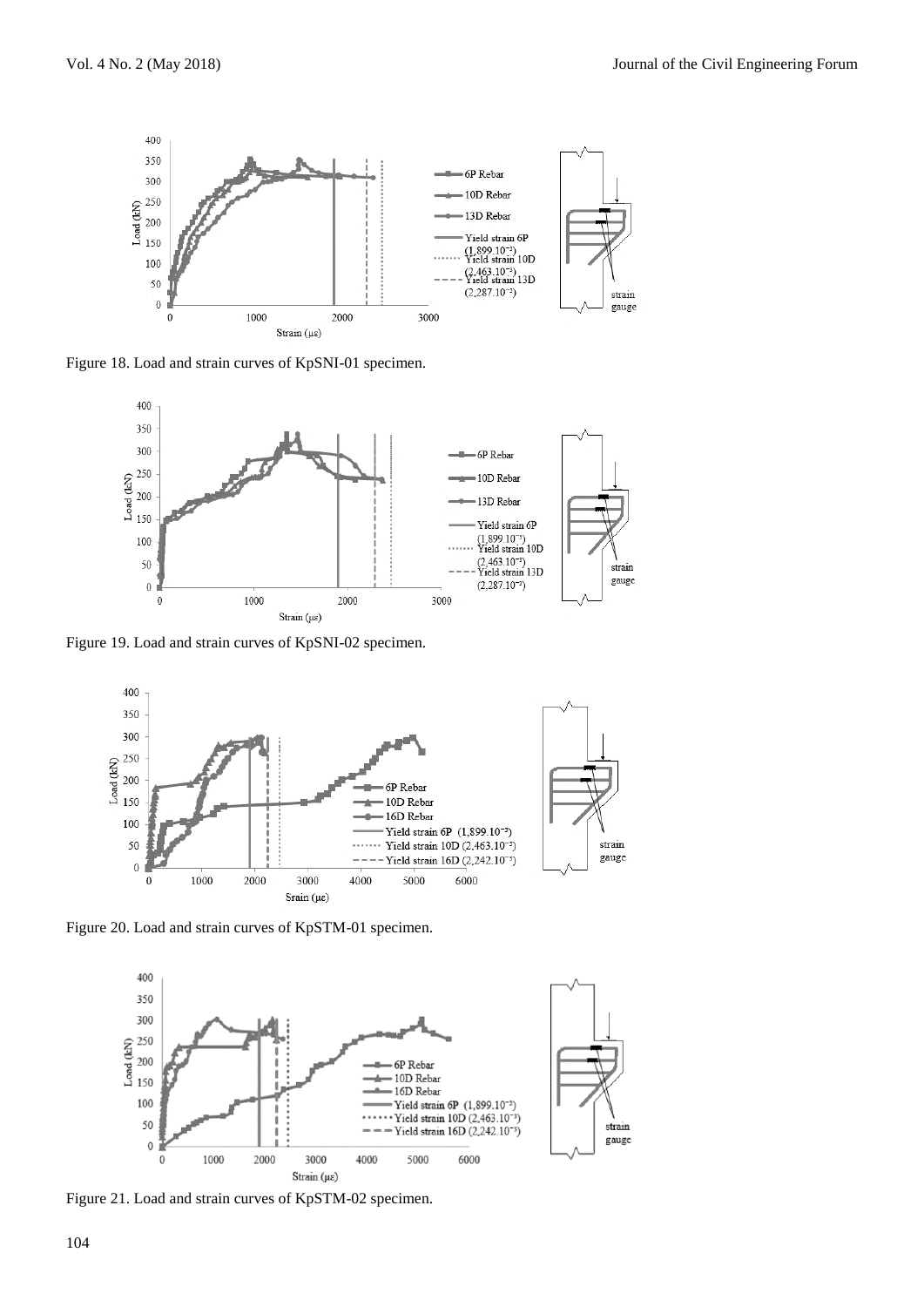

Figure 18. Load and strain curves of KpSNI-01 specimen.



Figure 19. Load and strain curves of KpSNI-02 specimen.



Figure 20. Load and strain curves of KpSTM-01 specimen.



Figure 21. Load and strain curves of KpSTM-02 specimen.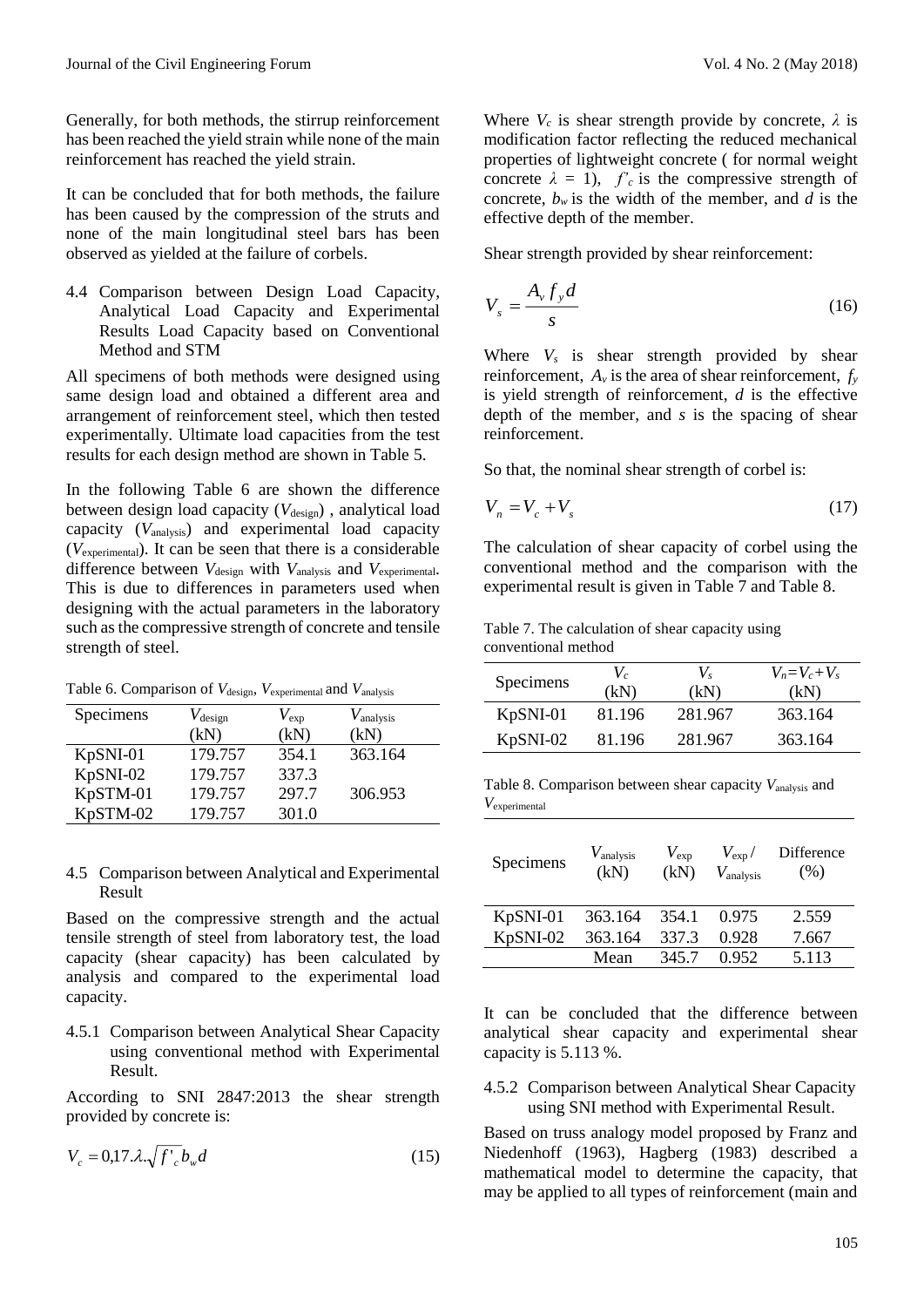Generally, for both methods, the stirrup reinforcement has been reached the yield strain while none of the main reinforcement has reached the yield strain.

It can be concluded that for both methods, the failure has been caused by the compression of the struts and none of the main longitudinal steel bars has been observed as yielded at the failure of corbels.

4.4 Comparison between Design Load Capacity, Analytical Load Capacity and Experimental Results Load Capacity based on Conventional Method and STM

All specimens of both methods were designed using same design load and obtained a different area and arrangement of reinforcement steel, which then tested experimentally. Ultimate load capacities from the test results for each design method are shown in Table 5.

In the following Table 6 are shown the difference between design load capacity (V<sub>design</sub>), analytical load capacity (*V*analysis) and experimental load capacity (*V*experimental). It can be seen that there is a considerable difference between *V*design with *V*analysis and *V*experimental. This is due to differences in parameters used when designing with the actual parameters in the laboratory such as the compressive strength of concrete and tensile strength of steel.

Table 6. Comparison of  $V_{\text{design}}$ ,  $V_{\text{experimental}}$  and  $V_{\text{analysis}}$ 

| Specimens | $V_{\text{design}}$ | $V_{\rm exp}$ | $V_{\text{analysis}}$ |
|-----------|---------------------|---------------|-----------------------|
|           | (kN)                | (kN)          | (kN)                  |
| KpSNI-01  | 179.757             | 354.1         | 363.164               |
| KpSNI-02  | 179.757             | 337.3         |                       |
| KpSTM-01  | 179.757             | 297.7         | 306.953               |
| KpSTM-02  | 179.757             | 301.0         |                       |

4.5 Comparison between Analytical and Experimental Result

Based on the compressive strength and the actual tensile strength of steel from laboratory test, the load capacity (shear capacity) has been calculated by analysis and compared to the experimental load capacity.

4.5.1 Comparison between Analytical Shear Capacity using conventional method with Experimental Result.

According to SNI 2847:2013 the shear strength provided by concrete is:

$$
V_c = 0.17 \lambda \sqrt{f'_c} b_w d \tag{15}
$$

Where  $V_c$  is shear strength provide by concrete,  $\lambda$  is modification factor reflecting the reduced mechanical properties of lightweight concrete ( for normal weight concrete  $\lambda = 1$ ,  $f'_c$  is the compressive strength of concrete,  $b_w$  is the width of the member, and *d* is the effective depth of the member.

Shear strength provided by shear reinforcement:

$$
V_s = \frac{A_v f_y d}{s} \tag{16}
$$

Where  $V_s$  is shear strength provided by shear reinforcement,  $A_v$  is the area of shear reinforcement,  $f_v$ is yield strength of reinforcement, *d* is the effective depth of the member, and *s* is the spacing of shear reinforcement.

So that, the nominal shear strength of corbel is:

$$
V_n = V_c + V_s \tag{17}
$$

The calculation of shear capacity of corbel using the conventional method and the comparison with the experimental result is given in Table 7 and Table 8.

Table 7. The calculation of shear capacity using conventional method

| Specimens | $V_c$<br>(kN) | $V_{s}$<br>(kN) | $V_n = V_c + V_s$<br>(kN) |
|-----------|---------------|-----------------|---------------------------|
| KpSNI-01  | 81.196        | 281.967         | 363.164                   |
| KpSNI-02  | 81.196        | 281.967         | 363.164                   |

Table 8. Comparison between shear capacity *V*analysis and *V*experimental

| Specimens | $V_{\text{analysis}}$<br>(kN) | $V_{\rm exp}$<br>(kN) | $V_{\rm exp}/$<br>$V_{\text{analysis}}$ | Difference<br>(% ) |
|-----------|-------------------------------|-----------------------|-----------------------------------------|--------------------|
| KpSNI-01  | 363.164                       | 354.1                 | 0.975                                   | 2.559              |
| KpSNI-02  | 363.164                       | 337.3                 | 0.928                                   | 7.667              |
|           | Mean                          | 345.7                 | 0.952                                   | 5.113              |

It can be concluded that the difference between analytical shear capacity and experimental shear capacity is 5.113 %.

4.5.2 Comparison between Analytical Shear Capacity using SNI method with Experimental Result.

Based on truss analogy model proposed by Franz and Niedenhoff (1963), Hagberg (1983) described a mathematical model to determine the capacity, that may be applied to all types of reinforcement (main and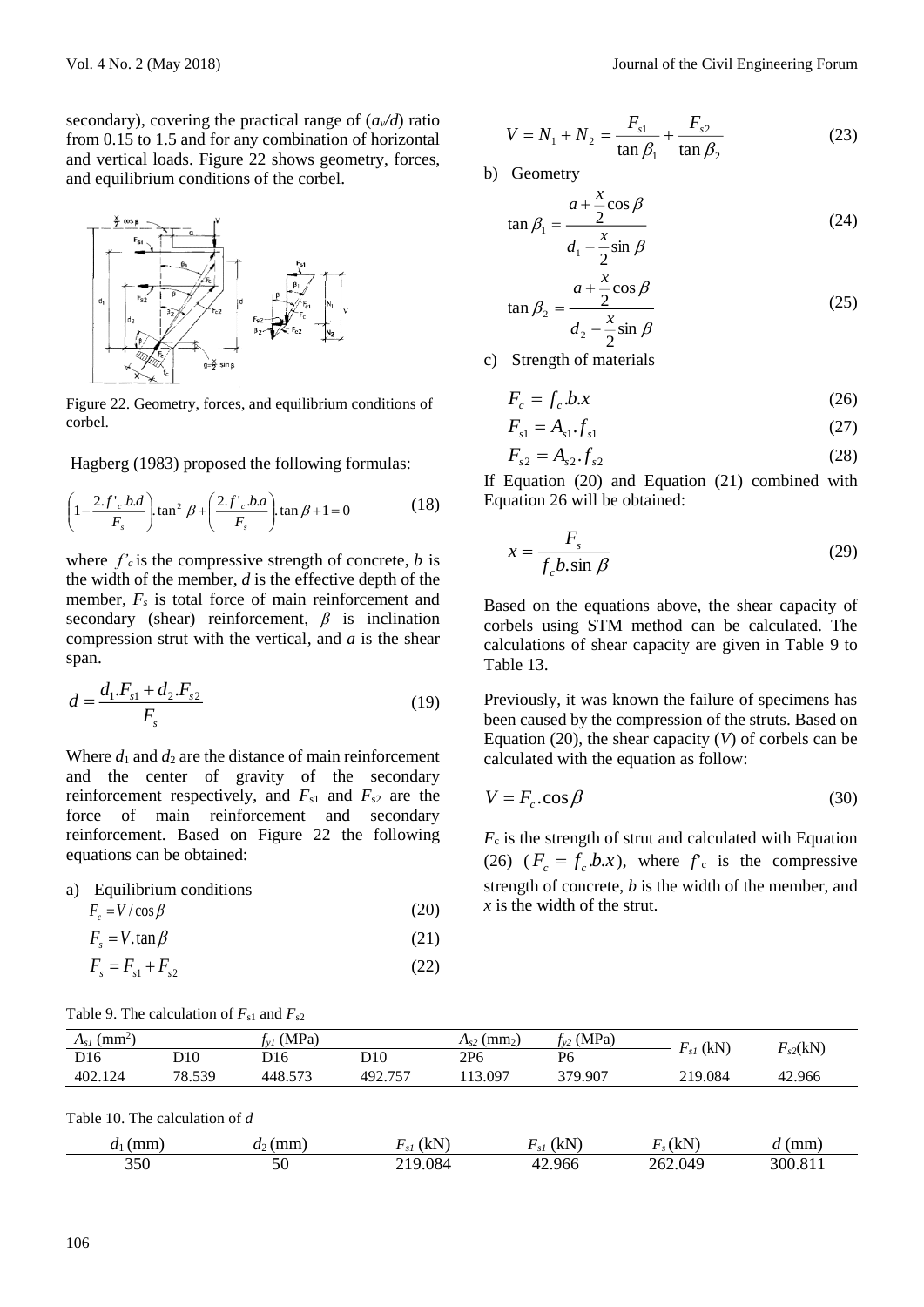secondary), covering the practical range of  $(a\sqrt{d})$  ratio from 0.15 to 1.5 and for any combination of horizontal and vertical loads. Figure 22 shows geometry, forces, and equilibrium conditions of the corbel.



Figure 22. Geometry, forces, and equilibrium conditions of corbel.

Hagberg (1983) proposed the following formulas:

$$
\left(1 - \frac{2 \cdot f'_{c} b.d}{F_{s}}\right) \tan^{2} \beta + \left(\frac{2 \cdot f'_{c} b.a}{F_{s}}\right) \tan \beta + 1 = 0
$$
 (18)

where  $f'_c$  is the compressive strength of concrete, *b* is the width of the member, *d* is the effective depth of the member,  $F_s$  is total force of main reinforcement and secondary (shear) reinforcement, *β* is inclination compression strut with the vertical, and *a* is the shear span.

$$
d = \frac{d_1.F_{s1} + d_2.F_{s2}}{F_s} \tag{19}
$$

Where  $d_1$  and  $d_2$  are the distance of main reinforcement and the center of gravity of the secondary reinforcement respectively, and  $F_{s1}$  and  $F_{s2}$  are the force of main reinforcement and secondary reinforcement. Based on Figure 22 the following equations can be obtained:

a) Equilibrium conditions

$$
F_c = V / \cos \beta
$$

$$
F_s = V \cdot \tan \beta \tag{21}
$$

$$
F_s = F_{s1} + F_{s2} \tag{22}
$$

$$
V = N_1 + N_2 = \frac{F_{s1}}{\tan \beta_1} + \frac{F_{s2}}{\tan \beta_2}
$$
 (23)

b) Geometry

$$
\tan \beta_1 = \frac{a + \frac{x}{2}\cos\beta}{d_1 - \frac{x}{2}\sin\beta} \tag{24}
$$

$$
\tan \beta_2 = \frac{a + \frac{x}{2}\cos\beta}{d_2 - \frac{x}{2}\sin\beta} \tag{25}
$$

c) Strength of materials

$$
F_c = f_c b.x \tag{26}
$$

$$
F_{s1} = A_{s1} \cdot f_{s1} \tag{27}
$$

$$
F_{s2} = A_{s2} \cdot f_{s2} \tag{28}
$$

If Equation (20) and Equation (21) combined with Equation 26 will be obtained:

$$
x = \frac{F_s}{f_c b \cdot \sin \beta} \tag{29}
$$

Based on the equations above, the shear capacity of corbels using STM method can be calculated. The calculations of shear capacity are given in Table 9 to Table 13.

Previously, it was known the failure of specimens has been caused by the compression of the struts. Based on Equation (20), the shear capacity (*V*) of corbels can be calculated with the equation as follow:

$$
V = F_c \cdot \cos \beta \tag{30}
$$

 $F_c$  is the strength of strut and calculated with Equation (26)  $(F_c = f_c b.x)$ , where  $f_c$  is the compressive strength of concrete, *b* is the width of the member, and *x* is the width of the strut.

| Table 9. The calculation of $F_{s1}$ and $F_{s2}$ |  |
|---------------------------------------------------|--|
|---------------------------------------------------|--|

| $\mathrm{mm}^2$<br>$A_{SI}$ |                 | (MPa)  |         | (mm <sub>2</sub> )<br>$\pi_{s2}$ | (MPa)   | (kN)    | ┳            |
|-----------------------------|-----------------|--------|---------|----------------------------------|---------|---------|--------------|
| D <sub>16</sub>             | D10             | D16    | D10     | 2P6                              | P6      |         | $_{s2}$ (kN) |
| 402.12<br>12 <sub>A</sub>   | 78.539<br>0.222 | 448.57 | 492.757 | .3.097<br>$\sim$                 | 379.907 | 219.084 | 42.966       |

(20)

Table 10. The calculation of *d*

| mm)<br>u | $-$<br>, пшп -<br>$u_{\perp}$ | ₽N<br>I ITT.<br>$\mathcal{L}$ | (LN)<br>۱۸٬۱<br>$\mathcal{L}$ | $E_{\rm F}$<br>IN. | (mm |
|----------|-------------------------------|-------------------------------|-------------------------------|--------------------|-----|
| 350      | 50                            | 084                           | 42.966<br>≖                   | 262.049            | 300 |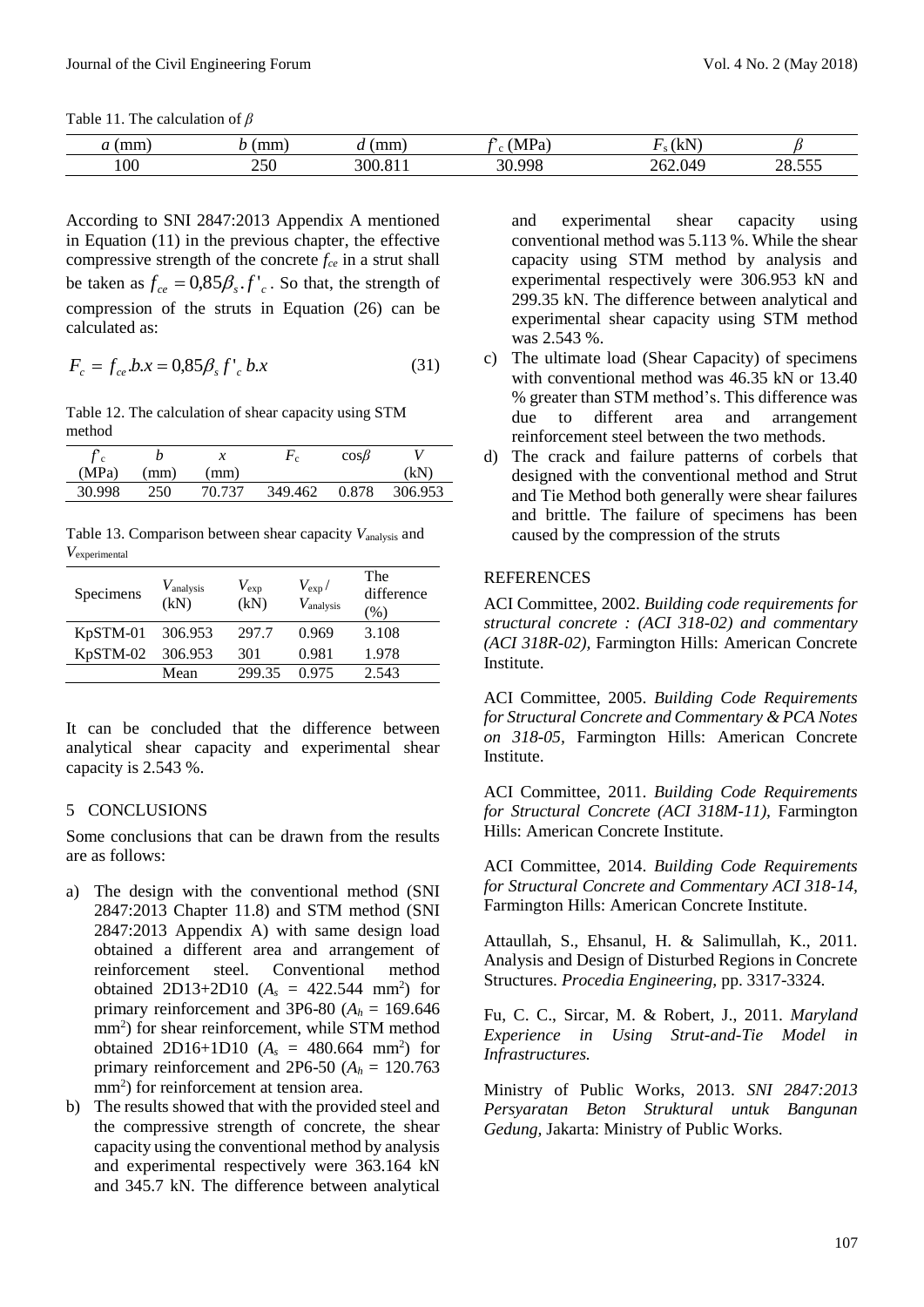Table 11. The calculation of *β*

|     | $\sim$     | ------<br> | $\overline{ }$<br>. . | $\sim$<br>$\overline{\mathbf{r}}$ |                 |
|-----|------------|------------|-----------------------|-----------------------------------|-----------------|
| 100 | 250<br>$-$ | 30C        | nη<br>71              | 1/I C<br>n                        | ---<br>$\Omega$ |

According to SNI 2847:2013 Appendix A mentioned in Equation (11) in the previous chapter, the effective compressive strength of the concrete *fce* in a strut shall be taken as  $f_{ce} = 0.85 \beta_s \cdot f_{c}$ . So that, the strength of compression of the struts in Equation (26) can be calculated as:

$$
F_c = f_{ce} b.x = 0.85 \beta_s f'_{c} b.x
$$
 (31)

Table 12. The calculation of shear capacity using STM method

| $\mathcal{L}$<br>c |     | x      | $\mathbf{r}$ c | $\cos\beta$ |         |
|--------------------|-----|--------|----------------|-------------|---------|
| (MPa)              | mm) | mm)    |                |             | (kN)    |
| 30.998             | 250 | 70 737 | 349.462        | 0.878       | 306.953 |

Table 13. Comparison between shear capacity *V*analysis and *V*experimental

| Specimens | $V_{\text{analysis}}$<br>(kN) | $V_{\rm exp}$<br>(kN) | $V_{\rm exp}/$<br>$V_{\text{analysis}}$ | The<br>difference<br>$\frac{9}{0}$ |
|-----------|-------------------------------|-----------------------|-----------------------------------------|------------------------------------|
| KpSTM-01  | 306.953                       | 297.7                 | 0.969                                   | 3.108                              |
| KpSTM-02  | 306.953                       | 301                   | 0.981                                   | 1.978                              |
|           | Mean                          | 299.35                | 0.975                                   | 2.543                              |

It can be concluded that the difference between analytical shear capacity and experimental shear capacity is 2.543 %.

### 5 CONCLUSIONS

Some conclusions that can be drawn from the results are as follows:

- a) The design with the conventional method (SNI 2847:2013 Chapter 11.8) and STM method (SNI 2847:2013 Appendix A) with same design load obtained a different area and arrangement of reinforcement steel. Conventional method obtained 2D13+2D10  $(A_s = 422.544 \text{ mm}^2)$  for primary reinforcement and 3P6-80 ( $A_h$  = 169.646) mm<sup>2</sup> ) for shear reinforcement, while STM method obtained 2D16+1D10  $(A_s = 480.664 \text{ mm}^2)$  for primary reinforcement and 2P6-50  $(A_h = 120.763)$ mm<sup>2</sup>) for reinforcement at tension area.
- b) The results showed that with the provided steel and the compressive strength of concrete, the shear capacity using the conventional method by analysis and experimental respectively were 363.164 kN and 345.7 kN. The difference between analytical

and experimental shear capacity using conventional method was 5.113 %. While the shear capacity using STM method by analysis and experimental respectively were 306.953 kN and 299.35 kN. The difference between analytical and experimental shear capacity using STM method was 2.543 %.

- c) The ultimate load (Shear Capacity) of specimens with conventional method was 46.35 kN or 13.40 % greater than STM method's. This difference was due to different area and arrangement reinforcement steel between the two methods.
- d) The crack and failure patterns of corbels that designed with the conventional method and Strut and Tie Method both generally were shear failures and brittle. The failure of specimens has been caused by the compression of the struts

## **REFERENCES**

ACI Committee, 2002. *Building code requirements for structural concrete : (ACI 318-02) and commentary (ACI 318R-02),* Farmington Hills: American Concrete Institute.

ACI Committee, 2005. *Building Code Requirements for Structural Concrete and Commentary & PCA Notes on 318-05,* Farmington Hills: American Concrete Institute.

ACI Committee, 2011. *Building Code Requirements for Structural Concrete (ACI 318M-11),* Farmington Hills: American Concrete Institute.

ACI Committee, 2014. *Building Code Requirements for Structural Concrete and Commentary ACI 318-14,*  Farmington Hills: American Concrete Institute.

Attaullah, S., Ehsanul, H. & Salimullah, K., 2011. Analysis and Design of Disturbed Regions in Concrete Structures. *Procedia Engineering,* pp. 3317-3324.

Fu, C. C., Sircar, M. & Robert, J., 2011. *Maryland Experience in Using Strut-and-Tie Model in Infrastructures.*

Ministry of Public Works, 2013. *SNI 2847:2013 Persyaratan Beton Struktural untuk Bangunan Gedung,* Jakarta: Ministry of Public Works.